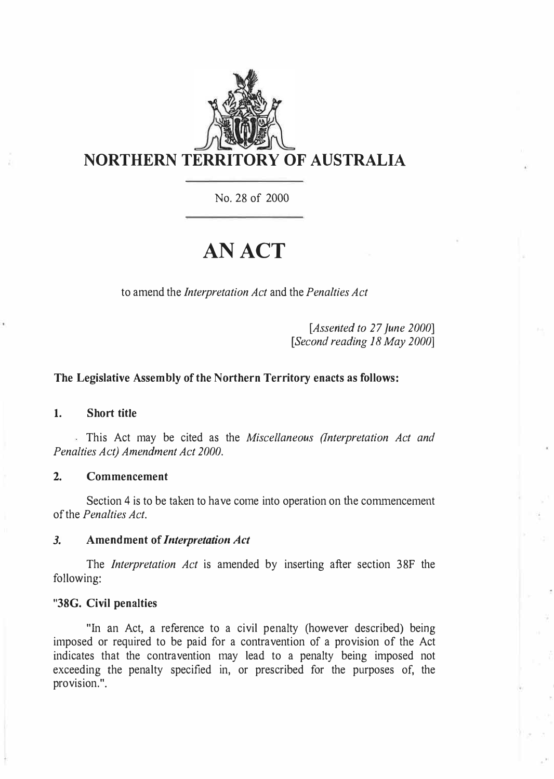

No. 28 of 2000

# **AN ACT**

to amend the *Interpretation Act* and the *Penalties Act* 

*[Assented to 27 June 2000] [Second reading 18 May 2000]* 

### **The Legislative Assembly of the Northern Territory enacts as follows:**

#### **1. Short title**

This Act may be cited as the *Miscellaneous (Interpretation Act and Penalties Act) Amendment Act 2000.* 

#### **2. Commencement**

Section 4 is to be taken to have come into operation on the commencement of the *Penalties Act.* 

### *3.* **Amendment of** *Interpretation Act*

The *Interpretation Act* is amended by inserting after section 38F the following:

#### **"38G. Civil penalties**

"In an Act, a reference to a civil penalty (however described) being imposed or required to be paid for a contravention of a provision of the Act indicates that the contravention may lead to a penalty being imposed not exceeding the penalty specified in, or prescribed for the purposes of, the provision.".